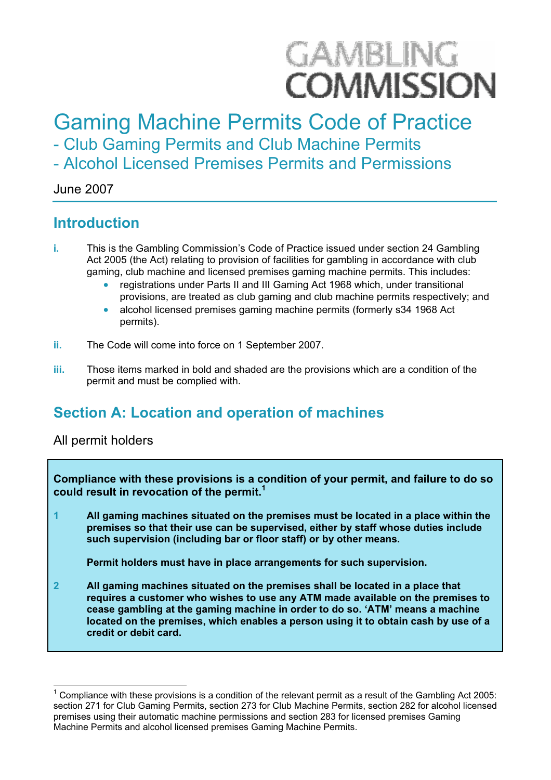# **GAMBLING COMMISSION**

# Gaming Machine Permits Code of Practice

- Club Gaming Permits and Club Machine Permits

- Alcohol Licensed Premises Permits and Permissions

#### June 2007

### **Introduction**

- **i.** This is the Gambling Commission's Code of Practice issued under section 24 Gambling Act 2005 (the Act) relating to provision of facilities for gambling in accordance with club gaming, club machine and licensed premises gaming machine permits. This includes:
	- registrations under Parts II and III Gaming Act 1968 which, under transitional provisions, are treated as club gaming and club machine permits respectively; and
	- x alcohol licensed premises gaming machine permits (formerly s34 1968 Act permits).
- **ii.** The Code will come into force on 1 September 2007.
- **iii.** Those items marked in bold and shaded are the provisions which are a condition of the permit and must be complied with.

# **Section A: Location and operation of machines**

#### All permit holders

**Compliance with these provisions is a condition of your permit, and failure to do so could result in revocation of the permit.<sup>1</sup>**

**1 All gaming machines situated on the premises must be located in a place within the premises so that their use can be supervised, either by staff whose duties include such supervision (including bar or floor staff) or by other means.** 

**Permit holders must have in place arrangements for such supervision.**

**2 All gaming machines situated on the premises shall be located in a place that requires a customer who wishes to use any ATM made available on the premises to cease gambling at the gaming machine in order to do so. 'ATM' means a machine located on the premises, which enables a person using it to obtain cash by use of a credit or debit card.** 

<sup>1</sup> Compliance with these provisions is a condition of the relevant permit as a result of the Gambling Act 2005: section 271 for Club Gaming Permits, section 273 for Club Machine Permits, section 282 for alcohol licensed premises using their automatic machine permissions and section 283 for licensed premises Gaming Machine Permits and alcohol licensed premises Gaming Machine Permits.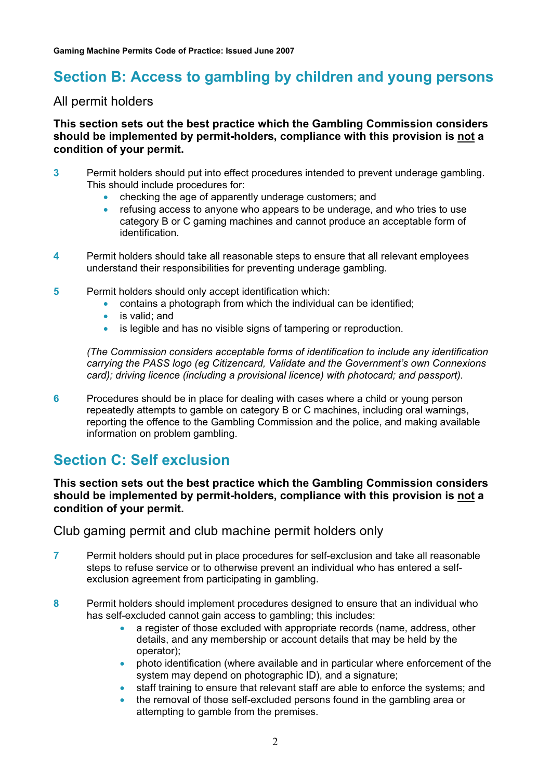# **Section B: Access to gambling by children and young persons**

#### All permit holders

#### **This section sets out the best practice which the Gambling Commission considers should be implemented by permit-holders, compliance with this provision is not a condition of your permit.**

- **3** Permit holders should put into effect procedures intended to prevent underage gambling. This should include procedures for:
	- checking the age of apparently underage customers; and
	- x refusing access to anyone who appears to be underage, and who tries to use category B or C gaming machines and cannot produce an acceptable form of identification.
- **4** Permit holders should take all reasonable steps to ensure that all relevant employees understand their responsibilities for preventing underage gambling.
- **5** Permit holders should only accept identification which:
	- $\bullet$  contains a photograph from which the individual can be identified:
	- $\bullet$  is valid; and
	- is legible and has no visible signs of tampering or reproduction.

(The Commission considers acceptable forms of identification to include any identification carrying the PASS logo (eg Citizencard, Validate and the Government's own Connexions card); driving licence (including a provisional licence) with photocard; and passport).

**6** Procedures should be in place for dealing with cases where a child or young person repeatedly attempts to gamble on category B or C machines, including oral warnings, reporting the offence to the Gambling Commission and the police, and making available information on problem gambling.

## **Section C: Self exclusion**

#### **This section sets out the best practice which the Gambling Commission considers should be implemented by permit-holders, compliance with this provision is not a condition of your permit.**

Club gaming permit and club machine permit holders only

- **7** Permit holders should put in place procedures for self-exclusion and take all reasonable steps to refuse service or to otherwise prevent an individual who has entered a selfexclusion agreement from participating in gambling.
- **8** Permit holders should implement procedures designed to ensure that an individual who has self-excluded cannot gain access to gambling; this includes:
	- a register of those excluded with appropriate records (name, address, other details, and any membership or account details that may be held by the operator);
	- photo identification (where available and in particular where enforcement of the system may depend on photographic ID), and a signature;
	- x staff training to ensure that relevant staff are able to enforce the systems; and
	- the removal of those self-excluded persons found in the gambling area or attempting to gamble from the premises.